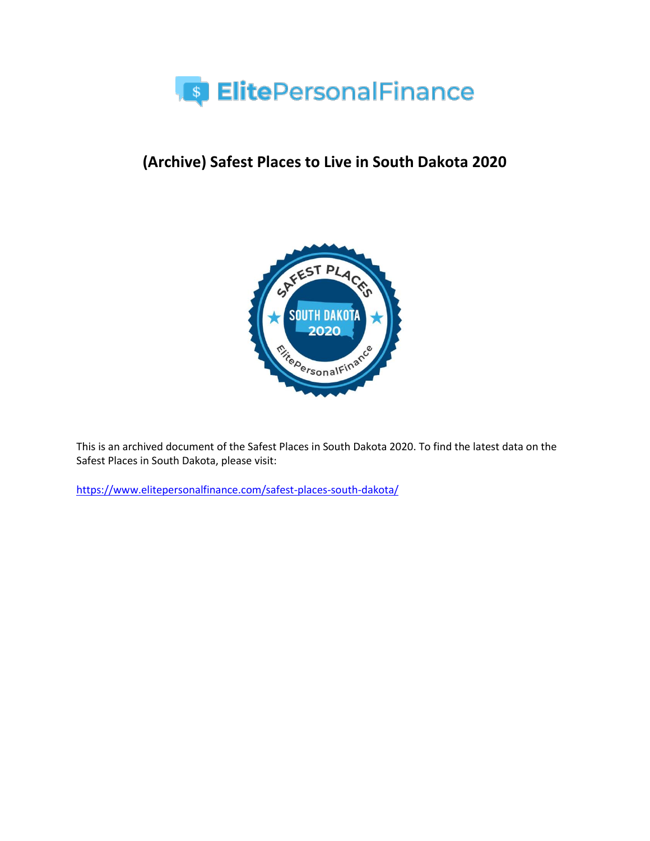

# **(Archive) Safest Places to Live in South Dakota 2020**



This is an archived document of the Safest Places in South Dakota 2020. To find the latest data on the Safest Places in South Dakota, please visit:

<https://www.elitepersonalfinance.com/safest-places-south-dakota/>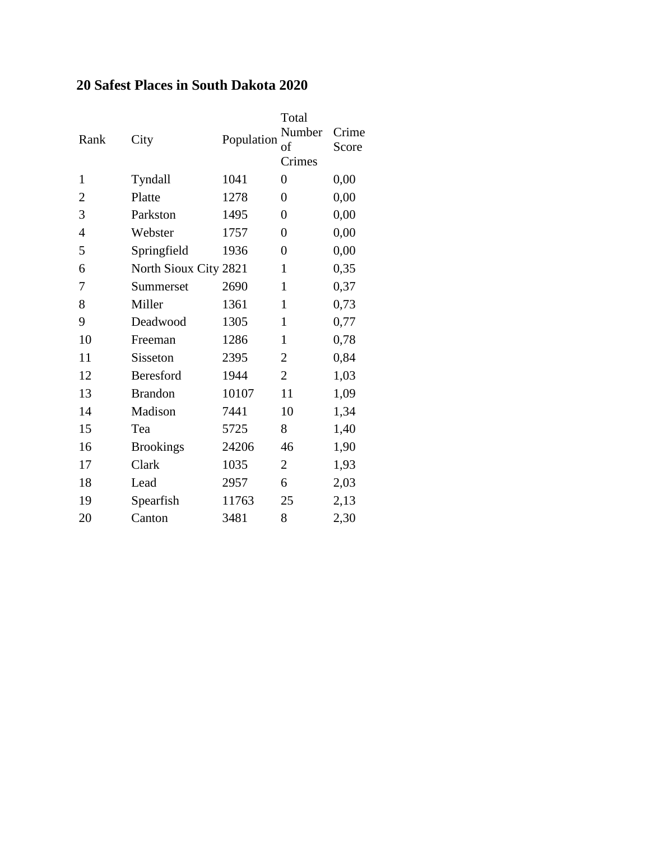### **20 Safest Places in South Dakota 2020**

| Rank           | City                  |            | Total            |       |
|----------------|-----------------------|------------|------------------|-------|
|                |                       | Population | Number           | Crime |
|                |                       |            | of               | Score |
|                |                       |            | Crimes           |       |
| $\mathbf{1}$   | Tyndall               | 1041       | $\overline{0}$   | 0,00  |
| 2              | Platte                | 1278       | $\boldsymbol{0}$ | 0,00  |
| 3              | Parkston              | 1495       | $\overline{0}$   | 0,00  |
| $\overline{4}$ | Webster               | 1757       | $\overline{0}$   | 0,00  |
| 5              | Springfield           | 1936       | $\overline{0}$   | 0,00  |
| 6              | North Sioux City 2821 |            | 1                | 0,35  |
| 7              | Summerset             | 2690       | $\mathbf{1}$     | 0,37  |
| 8              | Miller                | 1361       | $\mathbf{1}$     | 0,73  |
| 9              | Deadwood              | 1305       | $\mathbf{1}$     | 0,77  |
| 10             | Freeman               | 1286       | $\mathbf{1}$     | 0,78  |
| 11             | Sisseton              | 2395       | $\overline{2}$   | 0,84  |
| 12             | Beresford             | 1944       | $\overline{2}$   | 1,03  |
| 13             | <b>Brandon</b>        | 10107      | 11               | 1,09  |
| 14             | Madison               | 7441       | 10               | 1,34  |
| 15             | Tea                   | 5725       | 8                | 1,40  |
| 16             | <b>Brookings</b>      | 24206      | 46               | 1,90  |
| 17             | Clark                 | 1035       | $\overline{2}$   | 1,93  |
| 18             | Lead                  | 2957       | 6                | 2,03  |
| 19             | Spearfish             | 11763      | 25               | 2,13  |
| 20             | Canton                | 3481       | 8                | 2,30  |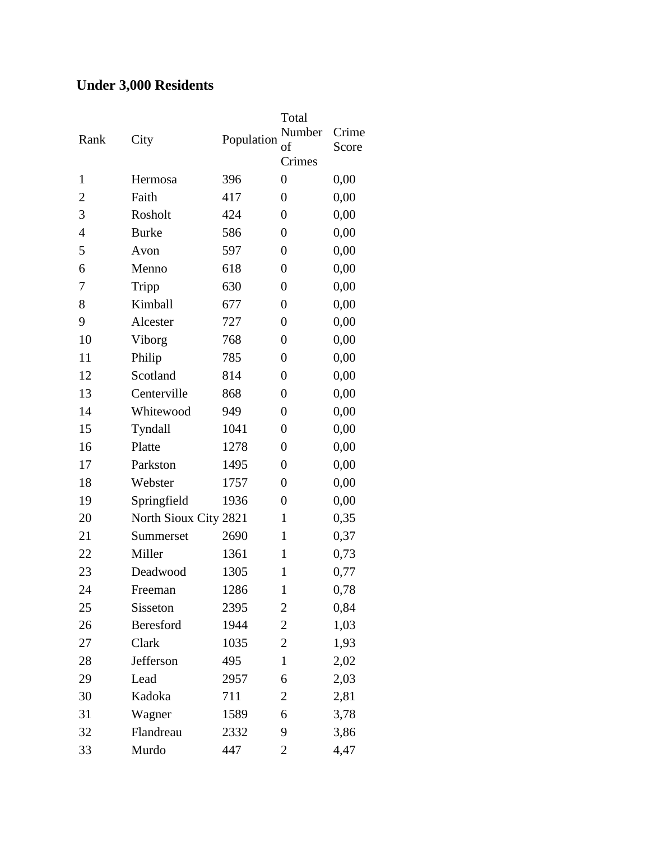# **Under 3,000 Residents**

| Rank           | City                  | Population | Total<br>Number<br>of<br>Crimes | Crime<br>Score |
|----------------|-----------------------|------------|---------------------------------|----------------|
| $\mathbf{1}$   | Hermosa               | 396        | $\overline{0}$                  | 0,00           |
| $\overline{2}$ | Faith                 | 417        | $\boldsymbol{0}$                | 0,00           |
| 3              | Rosholt               | 424        | $\boldsymbol{0}$                | 0,00           |
| $\overline{4}$ | <b>Burke</b>          | 586        | $\boldsymbol{0}$                | 0,00           |
| 5              | Avon                  | 597        | $\overline{0}$                  | 0,00           |
| 6              | Menno                 | 618        | $\boldsymbol{0}$                | 0,00           |
| 7              | Tripp                 | 630        | $\boldsymbol{0}$                | 0,00           |
| 8              | Kimball               | 677        | $\boldsymbol{0}$                | 0,00           |
| 9              | Alcester              | 727        | $\boldsymbol{0}$                | 0,00           |
| 10             | Viborg                | 768        | $\overline{0}$                  | 0,00           |
| 11             | Philip                | 785        | $\boldsymbol{0}$                | 0,00           |
| 12             | Scotland              | 814        | $\boldsymbol{0}$                | 0,00           |
| 13             | Centerville           | 868        | $\boldsymbol{0}$                | 0,00           |
| 14             | Whitewood             | 949        | $\boldsymbol{0}$                | 0,00           |
| 15             | Tyndall               | 1041       | $\overline{0}$                  | 0,00           |
| 16             | Platte                | 1278       | $\boldsymbol{0}$                | 0,00           |
| 17             | Parkston              | 1495       | $\boldsymbol{0}$                | 0,00           |
| 18             | Webster               | 1757       | $\boldsymbol{0}$                | 0,00           |
| 19             | Springfield           | 1936       | $\boldsymbol{0}$                | 0,00           |
| 20             | North Sioux City 2821 |            | $\mathbf{1}$                    | 0,35           |
| 21             | Summerset             | 2690       | $\mathbf{1}$                    | 0,37           |
| 22             | Miller                | 1361       | $\mathbf{1}$                    | 0,73           |
| 23             | Deadwood              | 1305       | 1                               | 0,77           |
| 24             | Freeman               | 1286       | $\mathbf{1}$                    | 0,78           |
| 25             | Sisseton              | 2395       | 2                               | 0,84           |
| 26             | Beresford             | 1944       | 2                               | 1,03           |
| 27             | Clark                 | 1035       | 2                               | 1,93           |
| 28             | Jefferson             | 495        | $\mathbf{1}$                    | 2,02           |
| 29             | Lead                  | 2957       | 6                               | 2,03           |
| 30             | Kadoka                | 711        | 2                               | 2,81           |
| 31             | Wagner                | 1589       | 6                               | 3,78           |
| 32             | Flandreau             | 2332       | 9                               | 3,86           |
| 33             | Murdo                 | 447        | $\overline{2}$                  | 4,47           |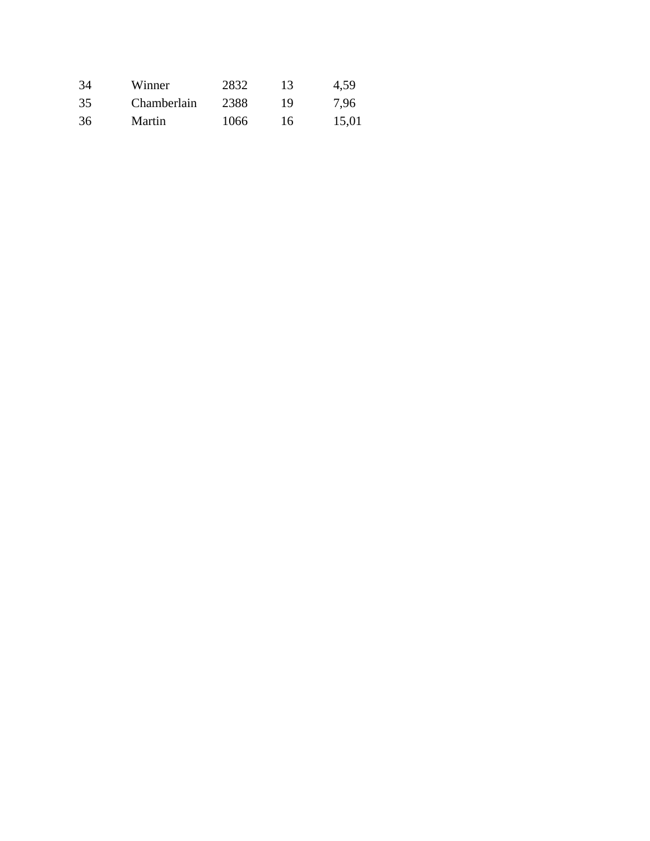| 34 | Winner      | 2832 | 13. | 4,59  |
|----|-------------|------|-----|-------|
| 35 | Chamberlain | 2388 | 19  | 7.96  |
| 36 | Martin      | 1066 | 16  | 15,01 |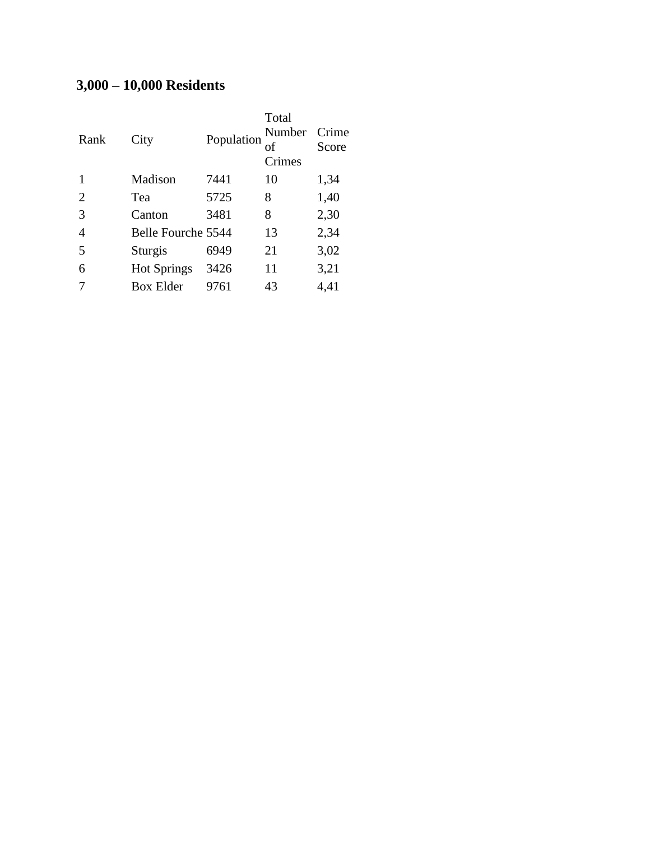# **3,000 – 10,000 Residents**

| Rank | City               | Population | Total<br>Number<br>of<br>Crimes | Crime<br>Score |
|------|--------------------|------------|---------------------------------|----------------|
|      | Madison            | 7441       | 10                              | 1,34           |
| 2    | Tea                | 5725       | 8                               | 1,40           |
| 3    | Canton             | 3481       | 8                               | 2,30           |
| 4    | Belle Fourche 5544 |            | 13                              | 2,34           |
| 5    | Sturgis            | 6949       | 21                              | 3,02           |
| 6    | <b>Hot Springs</b> | 3426       | 11                              | 3,21           |
|      | Box Elder          | 9761       | 43                              | 4,41           |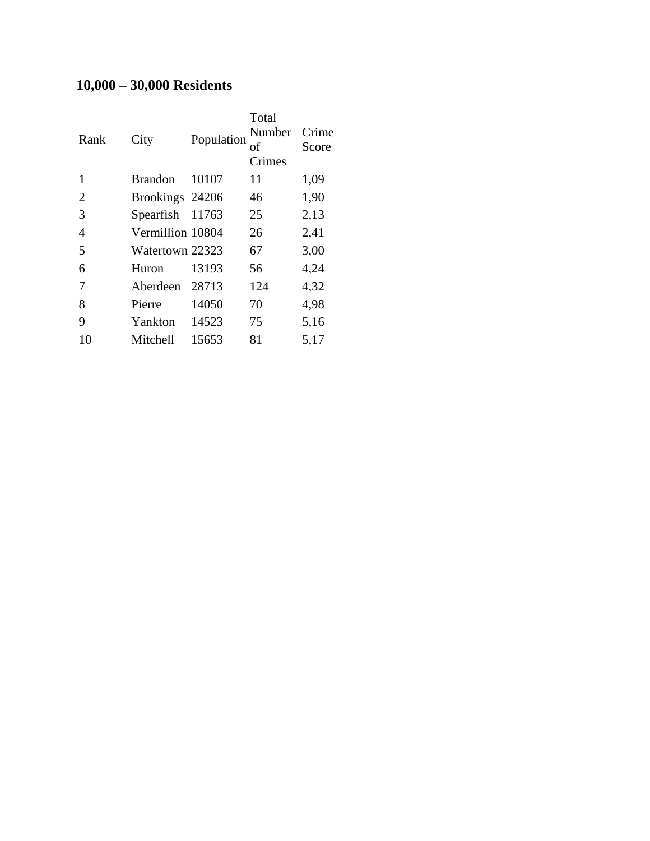# **10,000 – 30,000 Residents**

| Rank | City             | Population | Total<br>Number<br>οf<br>Crimes | Crime<br>Score |
|------|------------------|------------|---------------------------------|----------------|
| 1    | <b>Brandon</b>   | 10107      | 11                              | 1,09           |
| 2    | Brookings 24206  |            | 46                              | 1,90           |
| 3    | Spearfish        | 11763      | 25                              | 2,13           |
| 4    | Vermillion 10804 |            | 26                              | 2,41           |
| 5    | Watertown 22323  |            | 67                              | 3,00           |
| 6    | Huron            | 13193      | 56                              | 4,24           |
| 7    | Aberdeen         | 28713      | 124                             | 4,32           |
| 8    | Pierre           | 14050      | 70                              | 4,98           |
| 9    | Yankton          | 14523      | 75                              | 5,16           |
| 10   | Mitchell         | 15653      | 81                              | 5,17           |